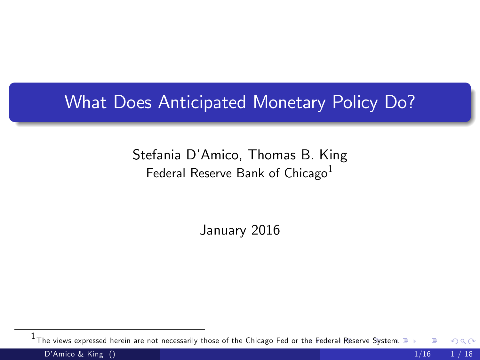#### What Does Anticipated Monetary Policy Do?

#### Stefania DíAmico, Thomas B. King Federal Reserve Bank of Chicago<sup>1</sup>

<span id="page-0-0"></span>January 2016

 $^1$ The views expressed herein are not necessarily those of the Chicago Fed or t[he F](#page-0-0)e[der](#page-1-0)[al Res](#page-0-0)[er](#page-1-0)[ve S](#page-0-0)[yste](#page-17-0)[m.](#page-0-0)  $\Omega$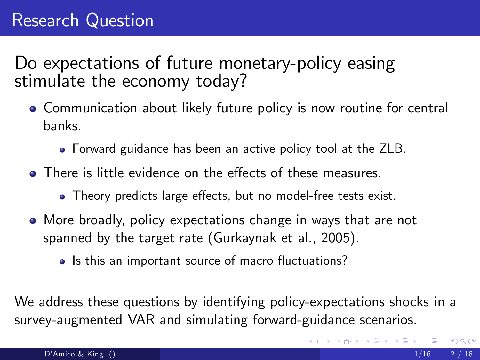# Research Question

Do expectations of future monetary-policy easing stimulate the economy today?

- Communication about likely future policy is now routine for central banks.
	- Forward guidance has been an active policy tool at the ZLB.
- $\bullet$  There is little evidence on the effects of these measures.
	- Theory predicts large effects, but no model-free tests exist.
- More broadly, policy expectations change in ways that are not spanned by the target rate (Gurkaynak et al., 2005).
	- Is this an important source of macro fluctuations?

We address these questions by identifying policy-expectations shocks in a survey-augmented VAR and simulating forward-guidance scenarios.

<span id="page-1-0"></span>イロト イ母 トイヨ トイヨト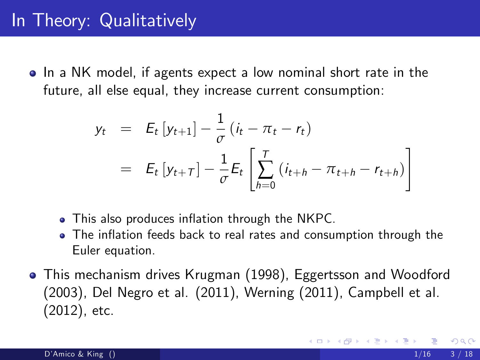### In Theory: Qualitatively

• In a NK model, if agents expect a low nominal short rate in the future, all else equal, they increase current consumption:

$$
y_t = E_t [y_{t+1}] - \frac{1}{\sigma} (i_t - \pi_t - r_t)
$$
  
=  $E_t [y_{t+T}] - \frac{1}{\sigma} E_t \left[ \sum_{h=0}^T (i_{t+h} - \pi_{t+h} - r_{t+h}) \right]$ 

- This also produces inflation through the NKPC.
- The inflation feeds back to real rates and consumption through the Euler equation.
- This mechanism drives Krugman (1998), Eggertsson and Woodford (2003), Del Negro et al. (2011), Werning (2011), Campbell et al. (2012), etc.

 $200$ 

K ロ ⊁ K 個 ≯ K 君 ⊁ K 君 ≯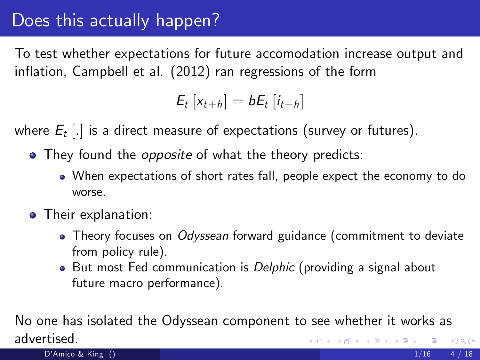# Does this actually happen?

To test whether expectations for future accomodation increase output and inflation, Campbell et al. (2012) ran regressions of the form

$$
E_t\left[x_{t+h}\right] = bE_t\left[i_{t+h}\right]
$$

where  $E_t$  [.] is a direct measure of expectations (survey or futures).

- They found the *opposite* of what the theory predicts:
	- When expectations of short rates fall, people expect the economy to do worse.
- **•** Their explanation:
	- Theory focuses on *Odyssean* forward guidance (commitment to deviate from policy rule).
	- But most Fed communication is Delphic (providing a signal about future macro performance).

No one has isolated the Odyssean component to see whether it works as advertised. メロメ メ母メ メミメ メミメ  $QQ$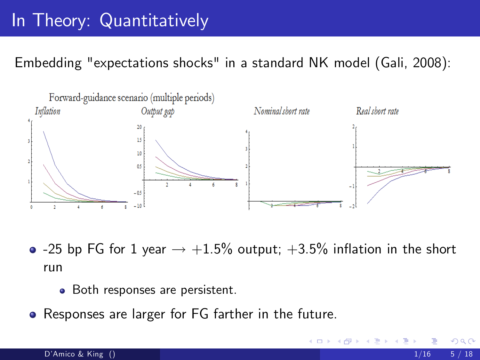# In Theory: Quantitatively

Embedding "expectations shocks" in a standard NK model (Gali, 2008):



- -25 bp FG for 1 year  $\rightarrow$  +1.5% output; +3.5% inflation in the short run
	- Both responses are persistent.
- Responses are larger for FG farther in the future.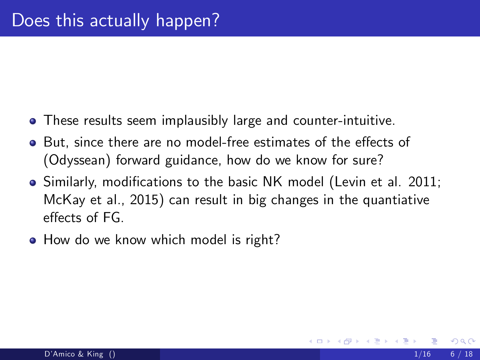- These results seem implausibly large and counter-intuitive.
- But, since there are no model-free estimates of the effects of (Odyssean) forward guidance, how do we know for sure?
- Similarly, modifications to the basic NK model (Levin et al. 2011; McKay et al., 2015) can result in big changes in the quantiative effects of FG.
- How do we know which model is right?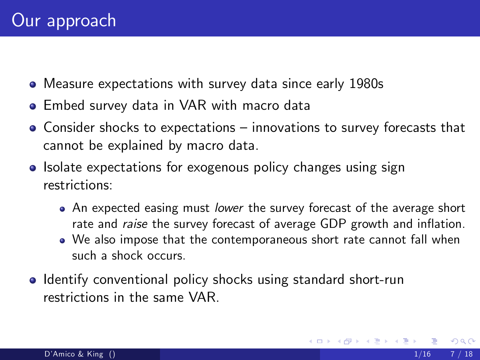- Measure expectations with survey data since early 1980s
- Embed survey data in VAR with macro data
- $\bullet$  Consider shocks to expectations innovations to survey forecasts that cannot be explained by macro data.
- Isolate expectations for exogenous policy changes using sign restrictions:
	- An expected easing must lower the survey forecast of the average short rate and *raise* the survey forecast of average GDP growth and inflation.
	- We also impose that the contemporaneous short rate cannot fall when such a shock occurs.
- **Identify conventional policy shocks using standard short-run** restrictions in the same VAR.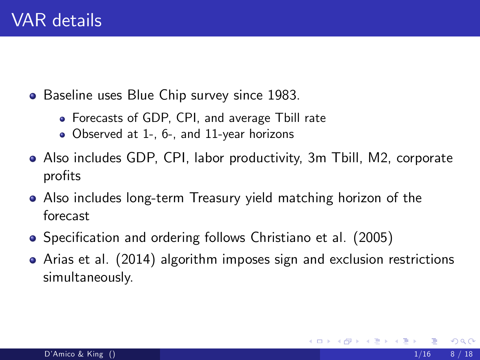- Baseline uses Blue Chip survey since 1983.
	- Forecasts of GDP, CPI, and average Tbill rate
	- Observed at 1-, 6-, and 11-year horizons
- Also includes GDP, CPI, labor productivity, 3m Tbill, M2, corporate profits
- Also includes long-term Treasury yield matching horizon of the forecast
- Specification and ordering follows Christiano et al. (2005)
- Arias et al. (2014) algorithm imposes sign and exclusion restrictions simultaneously.

4 0 8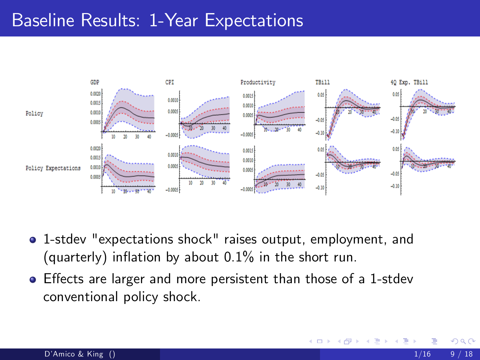#### Baseline Results: 1-Year Expectations



- 1-stdev "expectations shock" raises output, employment, and (quarterly) inflation by about  $0.1\%$  in the short run.
- Effects are larger and more persistent than those of a 1-stdev conventional policy shock.

4 0 8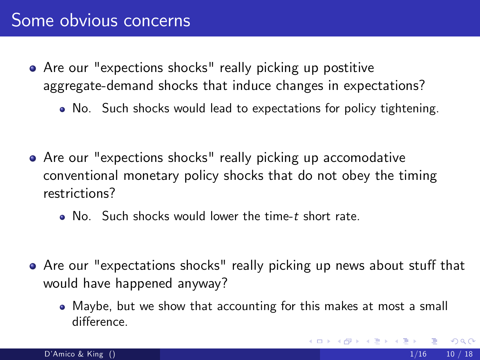- Are our "expections shocks" really picking up postitive aggregate-demand shocks that induce changes in expectations?
	- No. Such shocks would lead to expectations for policy tightening.
- Are our "expections shocks" really picking up accomodative conventional monetary policy shocks that do not obey the timing restrictions?
	- $\bullet$  No. Such shocks would lower the time-t short rate.
- Are our "expectations shocks" really picking up news about stuff that would have happened anyway?
	- Maybe, but we show that accounting for this makes at most a small difference.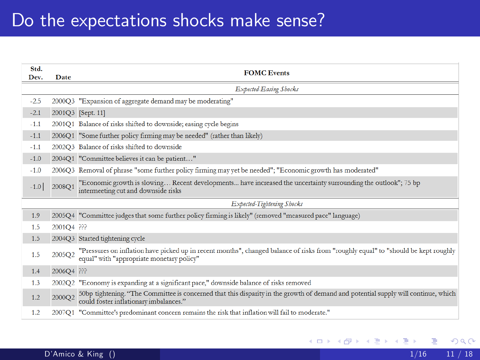### Do the expectations shocks make sense?

| Std.<br>Dev. | Date                       | <b>FOMC</b> Events                                                                                                                                                              |  |  |  |  |  |  |
|--------------|----------------------------|---------------------------------------------------------------------------------------------------------------------------------------------------------------------------------|--|--|--|--|--|--|
|              | Expected-Easing Shocks     |                                                                                                                                                                                 |  |  |  |  |  |  |
| $-2.5$       |                            | 2000Q3 "Expansion of aggregate demand may be moderating"                                                                                                                        |  |  |  |  |  |  |
| $-2.1$       |                            | 2001Q3 [Sept. 11]                                                                                                                                                               |  |  |  |  |  |  |
| $-1.1$       |                            | 2001Q1 Balance of risks shifted to downside; easing cycle begins                                                                                                                |  |  |  |  |  |  |
| $-1.1$       |                            | 2006Q1 "Some further policy firming may be needed" (rather than likely)                                                                                                         |  |  |  |  |  |  |
| $-1.1$       |                            | 2002Q3 Balance of risks shifted to downside                                                                                                                                     |  |  |  |  |  |  |
| $-1.0$       |                            | 2004Q1 "Committee believes it can be patient"                                                                                                                                   |  |  |  |  |  |  |
| $-1.0$       |                            | 2006Q3 Removal of phrase "some further policy firming may yet be needed"; "Economic growth has moderated"                                                                       |  |  |  |  |  |  |
| $-1.0$       | 2008O1                     | "Economic growth is slowing Recent developments have increased the uncertainty surrounding the outlook"; 75 bp<br>intermeeting cut and downside risks                           |  |  |  |  |  |  |
|              | Expected-Tightening Shocks |                                                                                                                                                                                 |  |  |  |  |  |  |
| 1.9          |                            | 2005Q4 "Committee judges that some further policy firming is likely" (removed "measured pace" language)                                                                         |  |  |  |  |  |  |
| 1.5          | 2001Q4 PPP                 |                                                                                                                                                                                 |  |  |  |  |  |  |
| 1.5          |                            | 2004Q3 Started tightening cycle                                                                                                                                                 |  |  |  |  |  |  |
| 1.5          | 2005Q2                     | "Pressures on inflation have picked up in recent months", changed balance of risks from "roughly equal" to "should be kept roughly<br>equal" with "appropriate monetary policy" |  |  |  |  |  |  |
| 1.4          | 2006Q4 PPP                 |                                                                                                                                                                                 |  |  |  |  |  |  |
| 1.3          |                            | 2002Q2 "Economy is expanding at a significant pace," downside balance of risks removed                                                                                          |  |  |  |  |  |  |
| 1.2          | 2000Q2                     | 50bp tightening. "The Committee is concerned that this disparity in the growth of demand and potential supply will continue, which<br>could foster inflationary imbalances."    |  |  |  |  |  |  |
| 1.2          |                            | 2007Q1 "Committee's predominant concern remains the risk that inflation will fail to moderate."                                                                                 |  |  |  |  |  |  |

э

メロト メ都 トメ ヨ トメ ヨ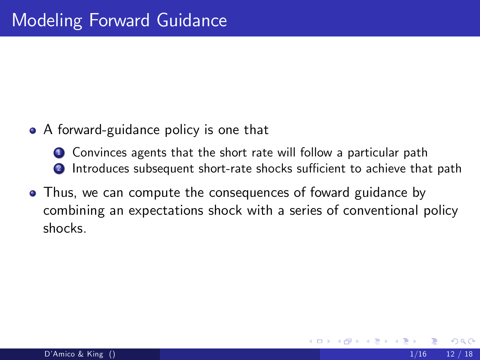• A forward-guidance policy is one that

**1** Convinces agents that the short rate will follow a particular path 2 Introduces subsequent short-rate shocks sufficient to achieve that path

Thus, we can compute the consequences of foward guidance by combining an expectations shock with a series of conventional policy shocks.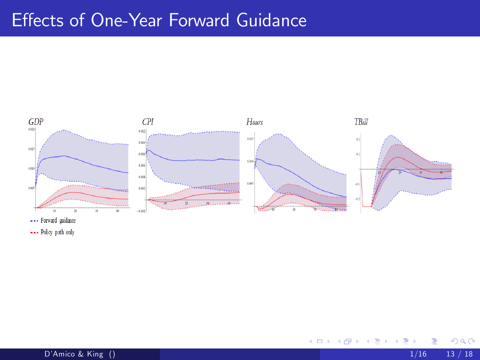## Effects of One-Year Forward Guidance



--- Policy path only

D'Amico & King () 1/16 13 / 18

Þ

**← ロ ▶ → イ 同** 

- 64

×  $\rightarrow$ э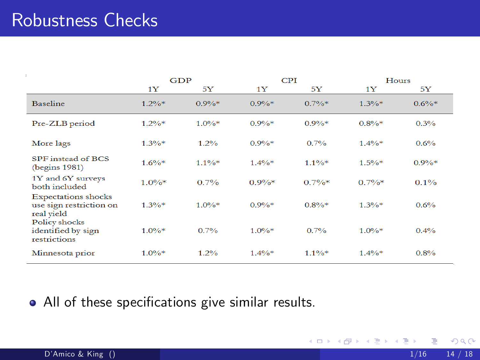## Robustness Checks

|                                                                     | <b>GDP</b> |          | CPI      |          | Hours    |          |
|---------------------------------------------------------------------|------------|----------|----------|----------|----------|----------|
|                                                                     | 1Y         | 5Y       | 1Y       | 5Y       | 1Y       | 5Y       |
| <b>Baseline</b>                                                     | $1.2\%*$   | $0.9\%*$ | $0.9\%*$ | $0.7\%*$ | $1.3\%*$ | $0.6\%*$ |
| Pre-ZLB period                                                      | $1.2\%*$   | $1.0\%*$ | $0.9\%*$ | $0.9\%*$ | $0.8\%*$ | 0.3%     |
| More lags                                                           | $1.3\%*$   | 1.2%     | $0.9\%*$ | $0.7\%$  | $1.4\%*$ | 0.6%     |
| SPF instead of BCS<br>$($ begins 1981 $)$                           | $1.6\%*$   | $1.1\%*$ | $1.4\%*$ | $1.1\%*$ | $1.5\%*$ | $0.9\%*$ |
| 1Y and 6Y surveys<br>both included                                  | $1.0\%*$   | $0.7\%$  | $0.9\%*$ | $0.7\%*$ | $0.7\%*$ | $0.1\%$  |
| <b>Expectations</b> shocks<br>use sign restriction on<br>real yield | $1.3\%*$   | $1.0\%*$ | $0.9\%*$ | $0.8\%*$ | $1.3\%*$ | 0.6%     |
| Policy shocks<br>identified by sign<br>restrictions                 | $1.0\%*$   | 0.7%     | $1.0\%*$ | $0.7\%$  | $1.0\%*$ | $0.4\%$  |
| Minnesota prior                                                     | $1.0\%*$   | 1.2%     | $1.4\%*$ | $1.1\%*$ | $1.4\%*$ | 0.8%     |

#### • All of these specifications give similar results.

 $298$ 

メロト メ都 トメ ヨ トメ ヨ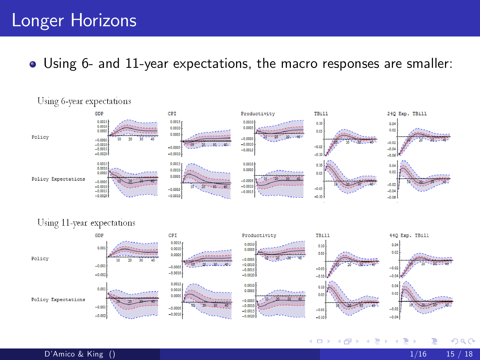#### Longer Horizons

#### Using 6- and 11-year expectations, the macro responses are smaller:



4 0 8

Using 6-year expectations

#### D'Amico & King () 1/16 15 / 18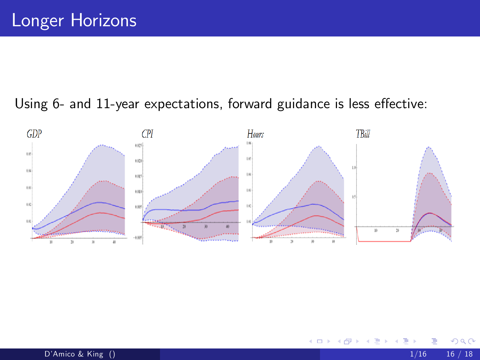#### Using 6- and 11-year expectations, forward guidance is less effective:



 $\leftarrow$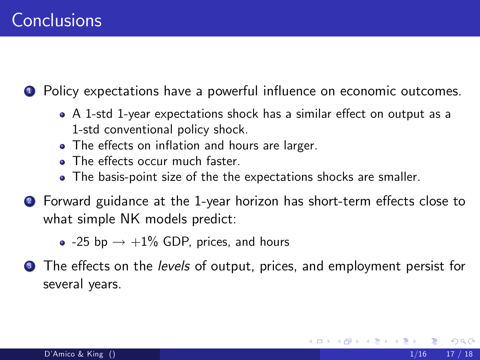**1** Policy expectations have a powerful influence on economic outcomes.

- A 1-std 1-year expectations shock has a similar effect on output as a 1-std conventional policy shock.
- The effects on inflation and hours are larger.
- $\bullet$  The effects occur much faster.
- The basis-point size of the the expectations shocks are smaller.
- Forward guidance at the 1-year horizon has short-term effects close to what simple NK models predict:
	- $\bullet$  -25 bp  $\rightarrow$  +1% GDP, prices, and hours
- **3** The effects on the levels of output, prices, and employment persist for several years.

つへへ